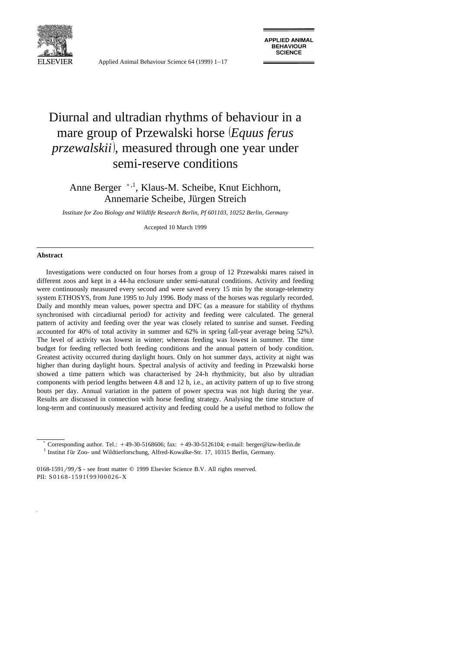

Applied Animal Behaviour Science 64 (1999) 1-17

**APPLIED ANIMAL BEHAVIOUR SCIENCE** 

# Diurnal and ultradian rhythms of behaviour in a mare group of Przewalski horse *Equus ferus przewalskii*/, measured through one year under semi-reserve conditions

Anne Berger \*,1, Klaus-M. Scheibe, Knut Eichhorn, Annemarie Scheibe, Jürgen Streich

*Institute for Zoo Biology and Wildlife Research Berlin, Pf 601103, 10252 Berlin, Germany*

Accepted 10 March 1999

#### **Abstract**

Investigations were conducted on four horses from a group of 12 Przewalski mares raised in different zoos and kept in a 44-ha enclosure under semi-natural conditions. Activity and feeding were continuously measured every second and were saved every 15 min by the storage-telemetry system ETHOSYS, from June 1995 to July 1996. Body mass of the horses was regularly recorded. Daily and monthly mean values, power spectra and DFC (as a measure for stability of rhythms synchronised with circadiurnal period) for activity and feeding were calculated. The general pattern of activity and feeding over the year was closely related to sunrise and sunset. Feeding accounted for 40% of total activity in summer and  $62\%$  in spring (all-year average being  $52\%$ ). The level of activity was lowest in winter; whereas feeding was lowest in summer. The time budget for feeding reflected both feeding conditions and the annual pattern of body condition. Greatest activity occurred during daylight hours. Only on hot summer days, activity at night was higher than during daylight hours. Spectral analysis of activity and feeding in Przewalski horse showed a time pattern which was characterised by 24-h rhythmicity, but also by ultradian components with period lengths between 4.8 and 12 h, i.e., an activity pattern of up to five strong bouts per day. Annual variation in the pattern of power spectra was not high during the year. Results are discussed in connection with horse feeding strategy. Analysing the time structure of long-term and continuously measured activity and feeding could be a useful method to follow the

<sup>&</sup>lt;sup>\*</sup> Corresponding author. Tel.:  $+49-30-5168606$ ; fax:  $+49-30-5126104$ ; e-mail: berger@izw-berlin.de <sup>1</sup> Institut für Zoo- und Wildtierforschung, Alfred-Kowalke-Str. 17, 10315 Berlin, Germany.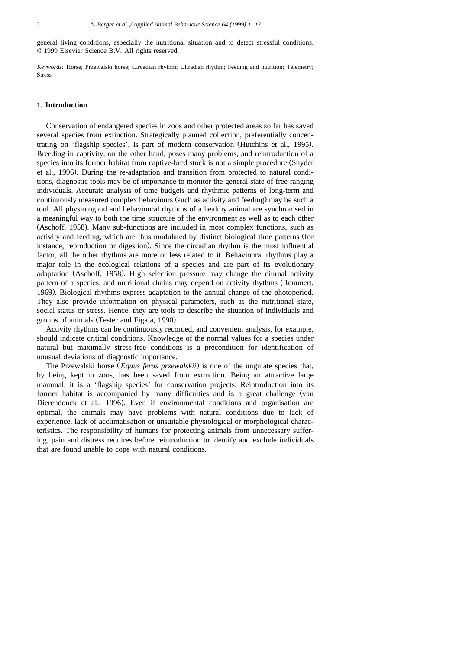general living conditions, especially the nutritional situation and to detect stressful conditions.  $© 1999 Elsevier Science B.V. All rights reserved.$ 

*Keywords:* Horse; Przewalski horse; Circadian rhythm; Ultradian rhythm; Feeding and nutrition; Telemetry; Stress

# **1. Introduction**

Conservation of endangered species in zoos and other protected areas so far has saved several species from extinction. Strategically planned collection, preferentially concentrating on 'flagship species', is part of modern conservation (Hutchins et al., 1995). Breeding in captivity, on the other hand, poses many problems, and reintroduction of a species into its former habitat from captive-bred stock is not a simple procedure (Snyder et al., 1996). During the re-adaptation and transition from protected to natural conditions, diagnostic tools may be of importance to monitor the general state of free-ranging individuals. Accurate analysis of time budgets and rhythmic patterns of long-term and continuously measured complex behaviours (such as activity and feeding) may be such a tool. All physiological and behavioural rhythms of a healthy animal are synchronised in a meaningful way to both the time structure of the environment as well as to each other (Aschoff, 1958). Many sub-functions are included in most complex functions, such as activity and feeding, which are thus modulated by distinct biological time patterns (for instance, reproduction or digestion). Since the circadian rhythm is the most influential factor, all the other rhythms are more or less related to it. Behavioural rhythms play a major role in the ecological relations of a species and are part of its evolutionary adaptation (Aschoff, 1958). High selection pressure may change the diurnal activity pattern of a species, and nutritional chains may depend on activity rhythms (Remmert, 1969). Biological rhythms express adaptation to the annual change of the photoperiod. They also provide information on physical parameters, such as the nutritional state, social status or stress. Hence, they are tools to describe the situation of individuals and groups of animals (Tester and Figala, 1990).

Activity rhythms can be continuously recorded, and convenient analysis, for example, should indicate critical conditions. Knowledge of the normal values for a species under natural but maximally stress-free conditions is a precondition for identification of unusual deviations of diagnostic importance.

The Przewalski horse (*Equus ferus przewalskii*) is one of the ungulate species that, by being kept in zoos, has been saved from extinction. Being an attractive large mammal, it is a 'flagship species' for conservation projects. Reintroduction into its former habitat is accompanied by many difficulties and is a great challenge (van Dierendonck et al., 1996). Even if environmental conditions and organisation are optimal, the animals may have problems with natural conditions due to lack of experience, lack of acclimatisation or unsuitable physiological or morphological characteristics. The responsibility of humans for protecting animals from unnecessary suffering, pain and distress requires before reintroduction to identify and exclude individuals that are found unable to cope with natural conditions.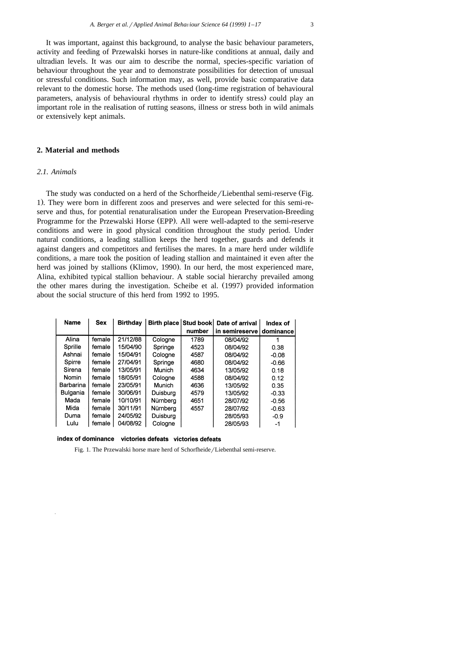It was important, against this background, to analyse the basic behaviour parameters, activity and feeding of Przewalski horses in nature-like conditions at annual, daily and ultradian levels. It was our aim to describe the normal, species-specific variation of behaviour throughout the year and to demonstrate possibilities for detection of unusual or stressful conditions. Such information may, as well, provide basic comparative data relevant to the domestic horse. The methods used (long-time registration of behavioural parameters, analysis of behavioural rhythms in order to identify stress) could play an important role in the realisation of rutting seasons, illness or stress both in wild animals or extensively kept animals.

#### **2. Material and methods**

## *2.1. Animals*

The study was conducted on a herd of the Schorfheide/Liebenthal semi-reserve (Fig. 1). They were born in different zoos and preserves and were selected for this semi-reserve and thus, for potential renaturalisation under the European Preservation-Breeding Programme for the Przewalski Horse (EPP). All were well-adapted to the semi-reserve conditions and were in good physical condition throughout the study period. Under natural conditions, a leading stallion keeps the herd together, guards and defends it against dangers and competitors and fertilises the mares. In a mare herd under wildlife conditions, a mare took the position of leading stallion and maintained it even after the herd was joined by stallions (Klimov, 1990). In our herd, the most experienced mare, Alina, exhibited typical stallion behaviour. A stable social hierarchy prevailed among the other mares during the investigation. Scheibe et al. (1997) provided information about the social structure of this herd from 1992 to 1995.

| Name      | <b>Sex</b> | <b>Birthday</b> | Birth place Stud book |        | Date of arrival | Index of  |
|-----------|------------|-----------------|-----------------------|--------|-----------------|-----------|
|           |            |                 |                       | number | in semireserve  | dominance |
| Alina     | female     | 21/12/88        | Cologne               | 1789   | 08/04/92        |           |
| Sprille   | female     | 15/04/90        | Springe               | 4523   | 08/04/92        | 0.38      |
| Ashnai    | female     | 15/04/91        | Cologne               | 4587   | 08/04/92        | $-0.08$   |
| Spirre    | female     | 27/04/91        | Springe               | 4680   | 08/04/92        | $-0.66$   |
| Sirena    | female     | 13/05/91        | Munich                | 4634   | 13/05/92        | 0.18      |
| Nomin     | female     | 18/05/91        | Cologne               | 4588   | 08/04/92        | 0.12      |
| Barbarina | female     | 23/05/91        | Munich                | 4636   | 13/05/92        | 0.35      |
| Bulgania  | female     | 30/06/91        | Duisburg              | 4579   | 13/05/92        | $-0.33$   |
| Mada      | female     | 10/10/91        | Nürnberg              | 4651   | 28/07/92        | $-0.56$   |
| Mida      | female     | 30/11/91        | Nürnberg              | 4557   | 28/07/92        | $-0.63$   |
| Duma      | female     | 24/05/92        | Duisburg              |        | 28/05/93        | $-0.9$    |
| Lulu      | female     | 04/08/92        | Cologne               |        | 28/05/93        | -1        |

#### index of dominance victories defeats victories defeats

Fig. 1. The Przewalski horse mare herd of Schorfheide/Liebenthal semi-reserve.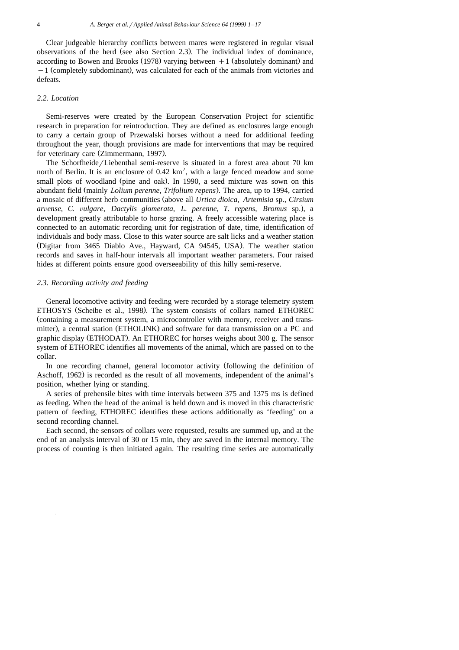Clear judgeable hierarchy conflicts between mares were registered in regular visual observations of the herd (see also Section 2.3). The individual index of dominance, according to Bowen and Brooks  $(1978)$  varying between  $+1$  (absolutely dominant) and  $-1$  (completely subdominant), was calculated for each of the animals from victories and defeats.

## *2.2. Location*

Semi-reserves were created by the European Conservation Project for scientific research in preparation for reintroduction. They are defined as enclosures large enough to carry a certain group of Przewalski horses without a need for additional feeding throughout the year, though provisions are made for interventions that may be required for veterinary care (Zimmermann, 1997).

The Schorfheide/Liebenthal semi-reserve is situated in a forest area about 70 km north of Berlin. It is an enclosure of  $0.42 \text{ km}^2$ , with a large fenced meadow and some small plots of woodland (pine and oak). In 1990, a seed mixture was sown on this abundant field (mainly *Lolium perenne*, *Trifolium repens*). The area, up to 1994, carried a mosaic of different herb communities (above all *Urtica dioica, Artemisia* sp., *Cirsium ar*Õ*ense*, *C.* Õ*ulgare*, *Dactylis glomerata*, *L. perenne*, *T. repens*, *Bromus* sp. , a . development greatly attributable to horse grazing. A freely accessible watering place is connected to an automatic recording unit for registration of date, time, identification of individuals and body mass. Close to this water source are salt licks and a weather station (Digitar from 3465 Diablo Ave., Hayward, CA 94545, USA). The weather station records and saves in half-hour intervals all important weather parameters. Four raised hides at different points ensure good overseeability of this hilly semi-reserve.

#### 2.3. Recording activity and feeding

General locomotive activity and feeding were recorded by a storage telemetry system ETHOSYS (Scheibe et al., 1998). The system consists of collars named ETHOREC Žcontaining a measurement system, a microcontroller with memory, receiver and transmitter), a central station (ETHOLINK) and software for data transmission on a PC and graphic display (ETHODAT). An ETHOREC for horses weighs about 300 g. The sensor system of ETHOREC identifies all movements of the animal, which are passed on to the collar.

In one recording channel, general locomotor activity (following the definition of Aschoff, 1962) is recorded as the result of all movements, independent of the animal's position, whether lying or standing.

A series of prehensile bites with time intervals between 375 and 1375 ms is defined as feeding. When the head of the animal is held down and is moved in this characteristic pattern of feeding, ETHOREC identifies these actions additionally as 'feeding' on a second recording channel.

Each second, the sensors of collars were requested, results are summed up, and at the end of an analysis interval of 30 or 15 min, they are saved in the internal memory. The process of counting is then initiated again. The resulting time series are automatically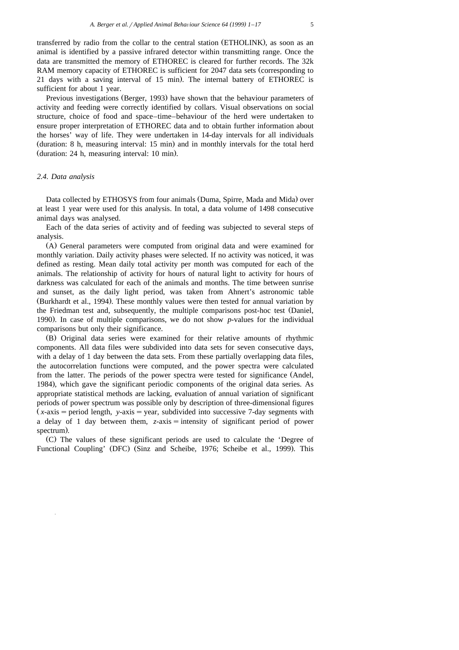transferred by radio from the collar to the central station (ETHOLINK), as soon as an animal is identified by a passive infrared detector within transmitting range. Once the data are transmitted the memory of ETHOREC is cleared for further records. The 32k RAM memory capacity of ETHOREC is sufficient for 2047 data sets (corresponding to 21 days with a saving interval of 15 min). The internal battery of ETHOREC is sufficient for about 1 year.

Previous investigations (Berger, 1993) have shown that the behaviour parameters of activity and feeding were correctly identified by collars. Visual observations on social structure, choice of food and space–time–behaviour of the herd were undertaken to ensure proper interpretation of ETHOREC data and to obtain further information about the horses' way of life. They were undertaken in 14-day intervals for all individuals (duration:  $8 \text{ h}$ , measuring interval:  $15 \text{ min}$ ) and in monthly intervals for the total herd  $d$ uration: 24 h, measuring interval: 10 min).

#### *2.4. Data analysis*

Data collected by ETHOSYS from four animals (Duma, Spirre, Mada and Mida) over at least 1 year were used for this analysis. In total, a data volume of 1498 consecutive animal days was analysed.

Each of the data series of activity and of feeding was subjected to several steps of analysis.

(A) General parameters were computed from original data and were examined for monthly variation. Daily activity phases were selected. If no activity was noticed, it was defined as resting. Mean daily total activity per month was computed for each of the animals. The relationship of activity for hours of natural light to activity for hours of darkness was calculated for each of the animals and months. The time between sunrise and sunset, as the daily light period, was taken from Ahnert's astronomic table (Burkhardt et al., 1994). These monthly values were then tested for annual variation by the Friedman test and, subsequently, the multiple comparisons post-hoc test (Daniel, 1990). In case of multiple comparisons, we do not show p-values for the individual comparisons but only their significance.

Ž . B Original data series were examined for their relative amounts of rhythmic components. All data files were subdivided into data sets for seven consecutive days, with a delay of 1 day between the data sets. From these partially overlapping data files, the autocorrelation functions were computed, and the power spectra were calculated from the latter. The periods of the power spectra were tested for significance (Andel, 1984), which gave the significant periodic components of the original data series. As appropriate statistical methods are lacking, evaluation of annual variation of significant periods of power spectrum was possible only by description of three-dimensional figures  $(x-axis = period length, y-axis = year, subdivided into successive 7-day segments with$ a delay of 1 day between them,  $z$ -axis = intensity of significant period of power spectrum).

Ž . C The values of these significant periods are used to calculate the 'Degree of Functional Coupling' (DFC) (Sinz and Scheibe, 1976; Scheibe et al., 1999). This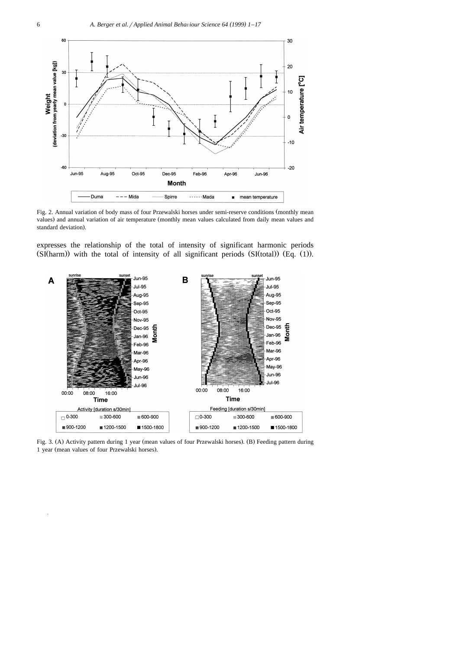

Fig. 2. Annual variation of body mass of four Przewalski horses under semi-reserve conditions (monthly mean values) and annual variation of air temperature (monthly mean values calculated from daily mean values and standard deviation).

expresses the relationship of the total of intensity of significant harmonic periods  $(SI(harm))$  with the total of intensity of all significant periods  $(SI(total))$  (Eq. (1)).



Fig. 3. (A) Activity pattern during 1 year (mean values of four Przewalski horses). (B) Feeding pattern during 1 year (mean values of four Przewalski horses).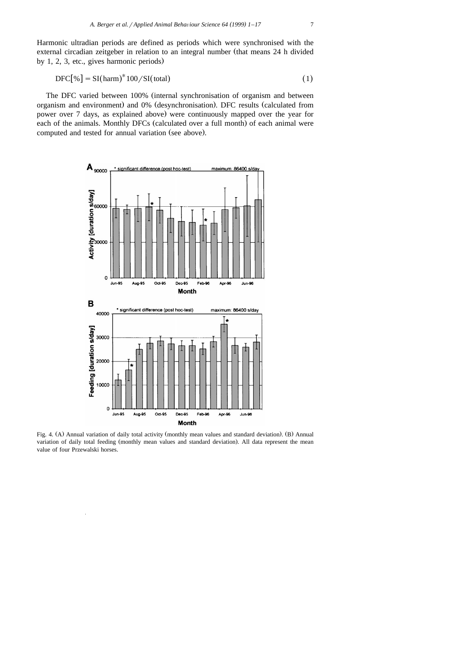Harmonic ultradian periods are defined as periods which were synchronised with the external circadian zeitgeber in relation to an integral number (that means 24 h divided by 1, 2, 3, etc., gives harmonic periods.

$$
DFC[\%] = SI(harm)*100/SI(total)
$$
 (1)

The DFC varied between 100% (internal synchronisation of organism and between organism and environment) and 0% (desynchronisation). DFC results (calculated from power over 7 days, as explained above) were continuously mapped over the year for each of the animals. Monthly DFCs (calculated over a full month) of each animal were computed and tested for annual variation (see above).



Fig. 4. (A) Annual variation of daily total activity (monthly mean values and standard deviation). (B) Annual variation of daily total feeding (monthly mean values and standard deviation). All data represent the mean value of four Przewalski horses.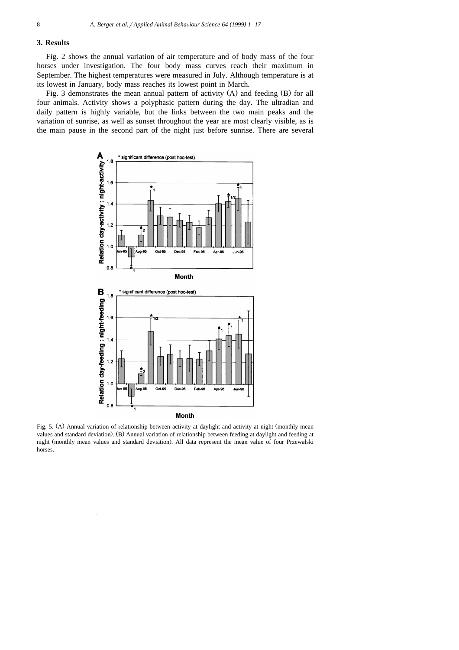## **3. Results**

Fig. 2 shows the annual variation of air temperature and of body mass of the four horses under investigation. The four body mass curves reach their maximum in September. The highest temperatures were measured in July. Although temperature is at its lowest in January, body mass reaches its lowest point in March.

Fig. 3 demonstrates the mean annual pattern of activity  $(A)$  and feeding  $(B)$  for all four animals. Activity shows a polyphasic pattern during the day. The ultradian and daily pattern is highly variable, but the links between the two main peaks and the variation of sunrise, as well as sunset throughout the year are most clearly visible, as is the main pause in the second part of the night just before sunrise. There are several



Fig. 5. (A) Annual variation of relationship between activity at daylight and activity at night (monthly mean values and standard deviation). (B) Annual variation of relationship between feeding at daylight and feeding at night (monthly mean values and standard deviation). All data represent the mean value of four Przewalski horses.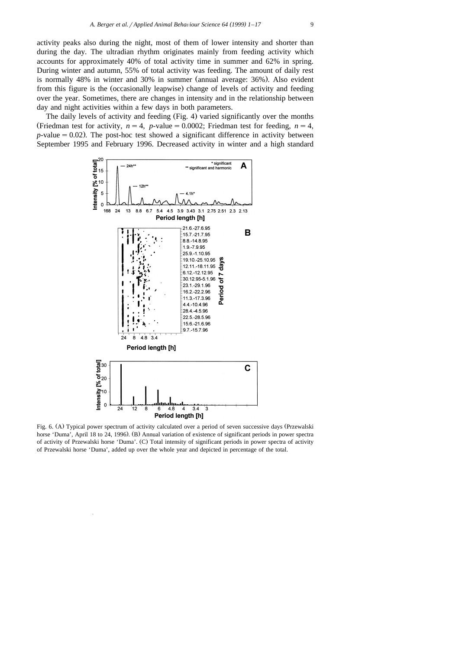activity peaks also during the night, most of them of lower intensity and shorter than during the day. The ultradian rhythm originates mainly from feeding activity which accounts for approximately 40% of total activity time in summer and 62% in spring. During winter and autumn, 55% of total activity was feeding. The amount of daily rest is normally  $48\%$  in winter and  $30\%$  in summer (annual average:  $36\%$ ). Also evident from this figure is the (occasionally leapwise) change of levels of activity and feeding over the year. Sometimes, there are changes in intensity and in the relationship between day and night activities within a few days in both parameters.

The daily levels of activity and feeding (Fig. 4) varied significantly over the months (Friedman test for activity,  $n=4$ , *p*-value = 0.0002; Friedman test for feeding,  $n=4$ ,  $p$ -value = 0.02). The post-hoc test showed a significant difference in activity between September 1995 and February 1996. Decreased activity in winter and a high standard



Fig. 6. (A) Typical power spectrum of activity calculated over a period of seven successive days (Przewalski horse 'Duma', April 18 to 24, 1996). (B) Annual variation of existence of significant periods in power spectra of activity of Przewalski horse 'Duma'. (C) Total intensity of significant periods in power spectra of activity of Przewalski horse 'Duma', added up over the whole year and depicted in percentage of the total.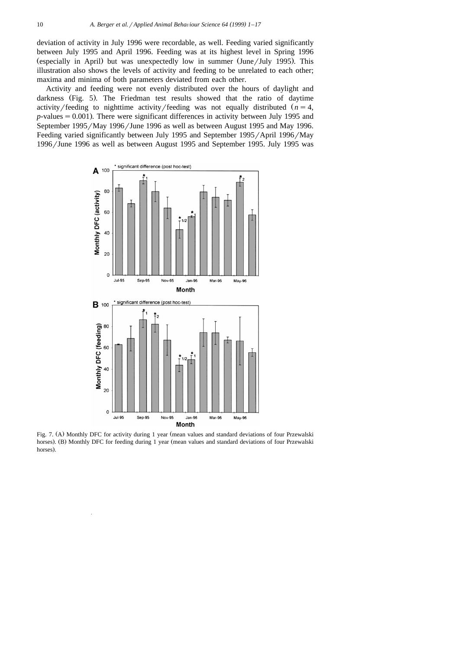deviation of activity in July 1996 were recordable, as well. Feeding varied significantly between July 1995 and April 1996. Feeding was at its highest level in Spring 1996 (especially in April) but was unexpectedly low in summer (June/July 1995). This illustration also shows the levels of activity and feeding to be unrelated to each other; maxima and minima of both parameters deviated from each other.

Activity and feeding were not evenly distributed over the hours of daylight and darkness (Fig. 5). The Friedman test results showed that the ratio of daytime activity/feeding to nighttime activity/feeding was not equally distributed  $(n=4,$  $p$ -values = 0.001). There were significant differences in activity between July 1995 and September 1995/May 1996/June 1996 as well as between August 1995 and May 1996. Feeding varied significantly between July 1995 and September 1995/April 1996/May 1996/June 1996 as well as between August 1995 and September 1995. July 1995 was



Fig. 7. (A) Monthly DFC for activity during 1 year (mean values and standard deviations of four Przewalski horses). (B) Monthly DFC for feeding during 1 year (mean values and standard deviations of four Przewalski horses).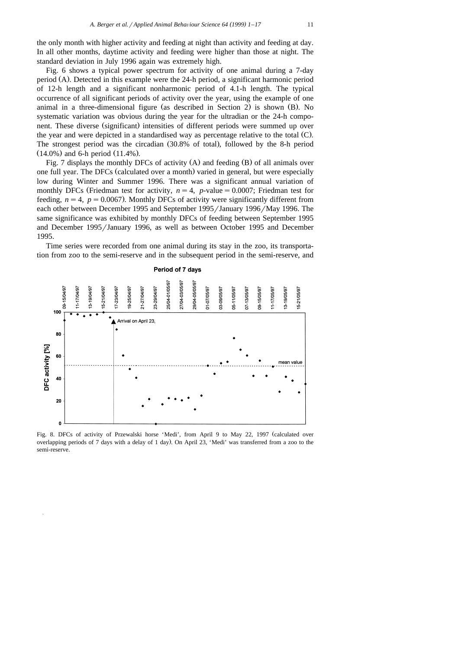the only month with higher activity and feeding at night than activity and feeding at day. In all other months, daytime activity and feeding were higher than those at night. The standard deviation in July 1996 again was extremely high.

Fig. 6 shows a typical power spectrum for activity of one animal during a 7-day period  $(A)$ . Detected in this example were the 24-h period, a significant harmonic period of 12-h length and a significant nonharmonic period of 4.1-h length. The typical occurrence of all significant periods of activity over the year, using the example of one animal in a three-dimensional figure (as described in Section 2) is shown  $(B)$ . No systematic variation was obvious during the year for the ultradian or the 24-h component. These diverse (significant) intensities of different periods were summed up over the year and were depicted in a standardised way as percentage relative to the total  $(C)$ . The strongest period was the circadian  $(30.8\%$  of total), followed by the 8-h period  $(14.0\%)$  and 6-h period  $(11.4\%)$ .

Fig. 7 displays the monthly DFCs of activity  $(A)$  and feeding  $(B)$  of all animals over one full year. The DFCs (calculated over a month) varied in general, but were especially low during Winter and Summer 1996. There was a significant annual variation of monthly DFCs (Friedman test for activity,  $n = 4$ ,  $p$ -value = 0.0007; Friedman test for feeding,  $n = 4$ ,  $p = 0.0067$ ). Monthly DFCs of activity were significantly different from each other between December 1995 and September 1995/January 1996/May 1996. The same significance was exhibited by monthly DFCs of feeding between September 1995 and December 1995/January 1996, as well as between October 1995 and December 1995.

Time series were recorded from one animal during its stay in the zoo, its transportation from zoo to the semi-reserve and in the subsequent period in the semi-reserve, and



# Period of 7 days

Fig. 8. DFCs of activity of Przewalski horse 'Medi', from April 9 to May 22, 1997 (calculated over overlapping periods of 7 days with a delay of 1 day). On April 23, 'Medi' was transferred from a zoo to the semi-reserve.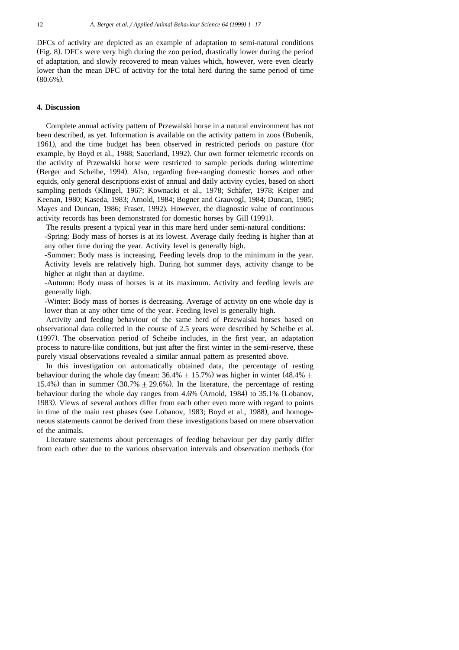DFCs of activity are depicted as an example of adaptation to semi-natural conditions (Fig. 8). DFCs were very high during the zoo period, drastically lower during the period of adaptation, and slowly recovered to mean values which, however, were even clearly lower than the mean DFC of activity for the total herd during the same period of time  $(80.6\%)$ .

## **4. Discussion**

Complete annual activity pattern of Przewalski horse in a natural environment has not been described, as yet. Information is available on the activity pattern in zoos (Bubenik, 1961), and the time budget has been observed in restricted periods on pasture (for example, by Boyd et al., 1988; Sauerland, 1992). Our own former telemetric records on the activity of Przewalski horse were restricted to sample periods during wintertime (Berger and Scheibe, 1994). Also, regarding free-ranging domestic horses and other equids, only general descriptions exist of annual and daily activity cycles, based on short sampling periods (Klingel, 1967; Kownacki et al., 1978; Schäfer, 1978; Keiper and Keenan, 1980; Kaseda, 1983; Arnold, 1984; Bogner and Grauvogl, 1984; Duncan, 1985; Mayes and Duncan, 1986; Fraser, 1992). However, the diagnostic value of continuous activity records has been demonstrated for domestic horses by Gill (1991).

The results present a typical year in this mare herd under semi-natural conditions:

-Spring: Body mass of horses is at its lowest. Average daily feeding is higher than at any other time during the year. Activity level is generally high.

-Summer: Body mass is increasing. Feeding levels drop to the minimum in the year. Activity levels are relatively high. During hot summer days, activity change to be higher at night than at daytime.

-Autumn: Body mass of horses is at its maximum. Activity and feeding levels are generally high.

-Winter: Body mass of horses is decreasing. Average of activity on one whole day is lower than at any other time of the year. Feeding level is generally high.

Activity and feeding behaviour of the same herd of Przewalski horses based on observational data collected in the course of 2.5 years were described by Scheibe et al. (1997). The observation period of Scheibe includes, in the first year, an adaptation process to nature-like conditions, but just after the first winter in the semi-reserve, these purely visual observations revealed a similar annual pattern as presented above.

In this investigation on automatically obtained data, the percentage of resting behaviour during the whole day (mean: 36.4%  $\pm$  15.7%) was higher in winter (48.4%  $\pm$ 15.4%) than in summer  $(30.7% + 29.6%)$ . In the literature, the percentage of resting behaviour during the whole day ranges from 4.6% (Arnold, 1984) to 35.1% (Lobanov, 1983). Views of several authors differ from each other even more with regard to points in time of the main rest phases (see Lobanov, 1983; Boyd et al., 1988), and homogeneous statements cannot be derived from these investigations based on mere observation of the animals.

Literature statements about percentages of feeding behaviour per day partly differ from each other due to the various observation intervals and observation methods (for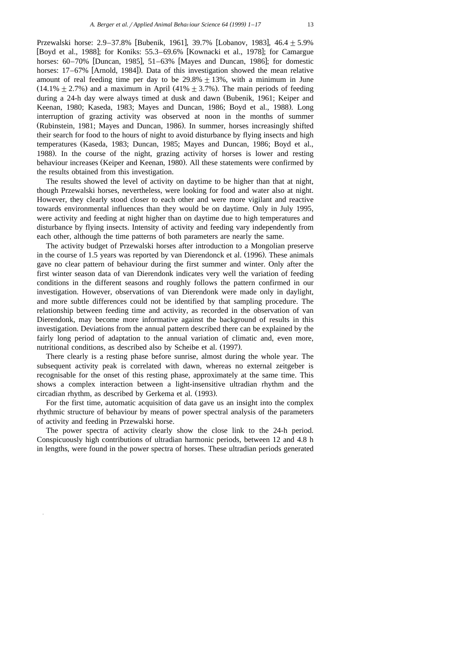Przewalski horse:  $2.9 - 37.8\%$  [Bubenik, 1961], 39.7% [Lobanov, 1983], 46.4  $\pm$  5.9% [Boyd et al., 1988]; for Koniks: 55.3–69.6% [Kownacki et al., 1978]; for Camargue horses:  $60-70\%$  [Duncan, 1985],  $51-63\%$  [Mayes and Duncan, 1986]; for domestic horses:  $17-67\%$  [Arnold, 1984]). Data of this investigation showed the mean relative amount of real feeding time per day to be  $29.8\% \pm 13\%$ , with a minimum in June  $(14.1\% \pm 2.7\%)$  and a maximum in April  $(41\% \pm 3.7\%)$ . The main periods of feeding during a 24-h day were always timed at dusk and dawn (Bubenik, 1961; Keiper and Keenan, 1980; Kaseda, 1983; Mayes and Duncan, 1986; Boyd et al., 1988). Long interruption of grazing activity was observed at noon in the months of summer (Rubinstein, 1981; Mayes and Duncan, 1986). In summer, horses increasingly shifted their search for food to the hours of night to avoid disturbance by flying insects and high temperatures (Kaseda, 1983; Duncan, 1985; Mayes and Duncan, 1986; Boyd et al., 1988). In the course of the night, grazing activity of horses is lower and resting behaviour increases (Keiper and Keenan, 1980). All these statements were confirmed by the results obtained from this investigation.

The results showed the level of activity on daytime to be higher than that at night, though Przewalski horses, nevertheless, were looking for food and water also at night. However, they clearly stood closer to each other and were more vigilant and reactive towards environmental influences than they would be on daytime. Only in July 1995, were activity and feeding at night higher than on daytime due to high temperatures and disturbance by flying insects. Intensity of activity and feeding vary independently from each other, although the time patterns of both parameters are nearly the same.

The activity budget of Przewalski horses after introduction to a Mongolian preserve in the course of  $1.5$  years was reported by van Dierendonck et al.  $(1996)$ . These animals gave no clear pattern of behaviour during the first summer and winter. Only after the first winter season data of van Dierendonk indicates very well the variation of feeding conditions in the different seasons and roughly follows the pattern confirmed in our investigation. However, observations of van Dierendonk were made only in daylight, and more subtle differences could not be identified by that sampling procedure. The relationship between feeding time and activity, as recorded in the observation of van Dierendonk, may become more informative against the background of results in this investigation. Deviations from the annual pattern described there can be explained by the fairly long period of adaptation to the annual variation of climatic and, even more, nutritional conditions, as described also by Scheibe et al. (1997).

There clearly is a resting phase before sunrise, almost during the whole year. The subsequent activity peak is correlated with dawn, whereas no external zeitgeber is recognisable for the onset of this resting phase, approximately at the same time. This shows a complex interaction between a light-insensitive ultradian rhythm and the circadian rhythm, as described by Gerkema et al. (1993).

For the first time, automatic acquisition of data gave us an insight into the complex rhythmic structure of behaviour by means of power spectral analysis of the parameters of activity and feeding in Przewalski horse.

The power spectra of activity clearly show the close link to the 24-h period. Conspicuously high contributions of ultradian harmonic periods, between 12 and 4.8 h in lengths, were found in the power spectra of horses. These ultradian periods generated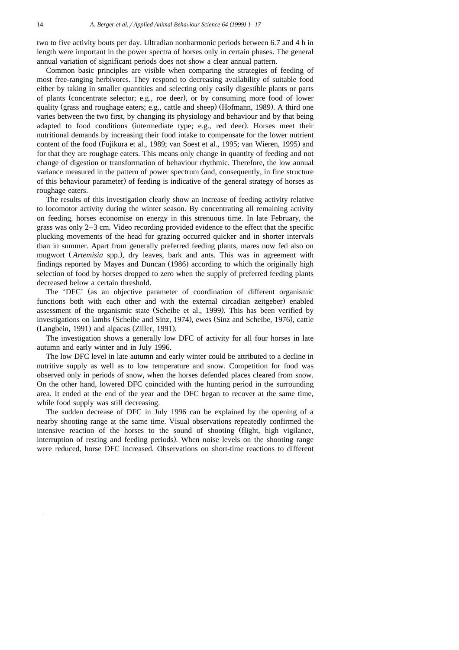two to five activity bouts per day. Ultradian nonharmonic periods between 6.7 and 4 h in length were important in the power spectra of horses only in certain phases. The general annual variation of significant periods does not show a clear annual pattern.

Common basic principles are visible when comparing the strategies of feeding of most free-ranging herbivores. They respond to decreasing availability of suitable food either by taking in smaller quantities and selecting only easily digestible plants or parts of plants (concentrate selector; e.g., roe deer), or by consuming more food of lower quality (grass and roughage eaters; e.g., cattle and sheep) (Hofmann, 1989). A third one varies between the two first, by changing its physiology and behaviour and by that being adapted to food conditions (intermediate type; e.g., red deer). Horses meet their nutritional demands by increasing their food intake to compensate for the lower nutrient content of the food (Fujikura et al., 1989; van Soest et al., 1995; van Wieren, 1995) and for that they are roughage eaters. This means only change in quantity of feeding and not change of digestion or transformation of behaviour rhythmic. Therefore, the low annual variance measured in the pattern of power spectrum (and, consequently, in fine structure of this behaviour parameter) of feeding is indicative of the general strategy of horses as roughage eaters.

The results of this investigation clearly show an increase of feeding activity relative to locomotor activity during the winter season. By concentrating all remaining activity on feeding, horses economise on energy in this strenuous time. In late February, the grass was only 2–3 cm. Video recording provided evidence to the effect that the specific plucking movements of the head for grazing occurred quicker and in shorter intervals than in summer. Apart from generally preferred feeding plants, mares now fed also on mugwort (*Artemisia* spp.), dry leaves, bark and ants. This was in agreement with findings reported by Mayes and Duncan (1986) according to which the originally high selection of food by horses dropped to zero when the supply of preferred feeding plants decreased below a certain threshold.

The 'DFC' (as an objective parameter of coordination of different organismic functions both with each other and with the external circadian zeitgeber) enabled assessment of the organismic state (Scheibe et al., 1999). This has been verified by investigations on lambs (Scheibe and Sinz, 1974), ewes (Sinz and Scheibe, 1976), cattle  $(Langbein, 1991)$  and alpacas  $(Ziller, 1991)$ .

The investigation shows a generally low DFC of activity for all four horses in late autumn and early winter and in July 1996.

The low DFC level in late autumn and early winter could be attributed to a decline in nutritive supply as well as to low temperature and snow. Competition for food was observed only in periods of snow, when the horses defended places cleared from snow. On the other hand, lowered DFC coincided with the hunting period in the surrounding area. It ended at the end of the year and the DFC began to recover at the same time, while food supply was still decreasing.

The sudden decrease of DFC in July 1996 can be explained by the opening of a nearby shooting range at the same time. Visual observations repeatedly confirmed the intensive reaction of the horses to the sound of shooting (flight, high vigilance, interruption of resting and feeding periods). When noise levels on the shooting range were reduced, horse DFC increased. Observations on short-time reactions to different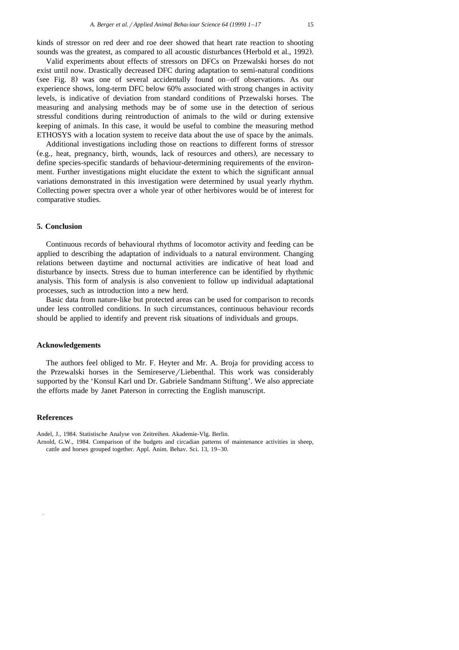kinds of stressor on red deer and roe deer showed that heart rate reaction to shooting sounds was the greatest, as compared to all acoustic disturbances (Herbold et al., 1992).

Valid experiments about effects of stressors on DFCs on Przewalski horses do not exist until now. Drastically decreased DFC during adaptation to semi-natural conditions (see Fig. 8) was one of several accidentally found on–off observations. As our experience shows, long-term DFC below 60% associated with strong changes in activity levels, is indicative of deviation from standard conditions of Przewalski horses. The measuring and analysing methods may be of some use in the detection of serious stressful conditions during reintroduction of animals to the wild or during extensive keeping of animals. In this case, it would be useful to combine the measuring method ETHOSYS with a location system to receive data about the use of space by the animals.

Additional investigations including those on reactions to different forms of stressor  $(e.g., heat, pregnancy, birth, wounds, lack of resources and others), are necessary to$ define species-specific standards of behaviour-determining requirements of the environment. Further investigations might elucidate the extent to which the significant annual variations demonstrated in this investigation were determined by usual yearly rhythm. Collecting power spectra over a whole year of other herbivores would be of interest for comparative studies.

## **5. Conclusion**

Continuous records of behavioural rhythms of locomotor activity and feeding can be applied to describing the adaptation of individuals to a natural environment. Changing relations between daytime and nocturnal activities are indicative of heat load and disturbance by insects. Stress due to human interference can be identified by rhythmic analysis. This form of analysis is also convenient to follow up individual adaptational processes, such as introduction into a new herd.

Basic data from nature-like but protected areas can be used for comparison to records under less controlled conditions. In such circumstances, continuous behaviour records should be applied to identify and prevent risk situations of individuals and groups.

#### **Acknowledgements**

The authors feel obliged to Mr. F. Heyter and Mr. A. Broja for providing access to the Przewalski horses in the Semireserve/Liebenthal. This work was considerably supported by the 'Konsul Karl und Dr. Gabriele Sandmann Stiftung'. We also appreciate the efforts made by Janet Paterson in correcting the English manuscript.

# **References**

Andel, J., 1984. Statistische Analyse von Zeitreihen. Akademie-Vlg. Berlin.

Arnold, G.W., 1984. Comparison of the budgets and circadian patterns of maintenance activities in sheep, cattle and horses grouped together. Appl. Anim. Behav. Sci. 13, 19–30.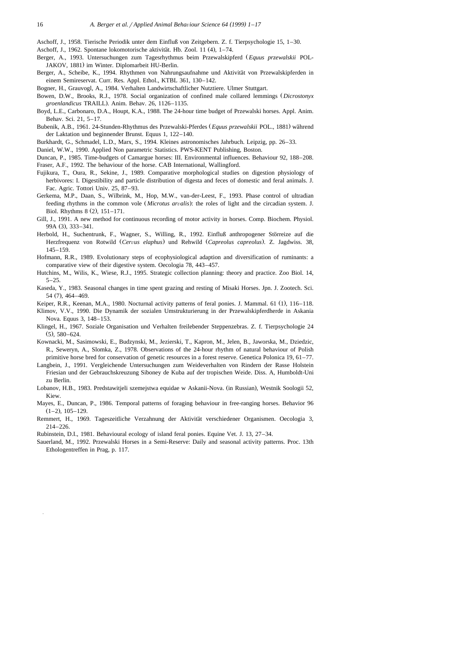- Aschoff, J., 1958. Tierische Periodik unter dem Einfluß von Zeitgebern. Z. f. Tierpsychologie 15, 1–30.
- Aschoff, J., 1962. Spontane lokomotorische aktivität. Hb. Zool. 11 (4), 1–74.
- Berger, A., 1993. Untersuchungen zum Tagesrhythmus beim Przewalskipferd (*Equus przewalskii* POL-JAKOV, 1881) im Winter. Diplomarbeit HU-Berlin.
- Berger, A., Scheibe, K., 1994. Rhythmen von Nahrungsaufnahme und Aktivität von Przewalskipferden in einem Semireservat. Curr. Res. Appl. Ethol., KTBL 361, 130–142.
- Bogner, H., Grauvogl, A., 1984. Verhalten Landwirtschaftlicher Nutztiere. Ulmer Stuttgart.
- Bowen, D.W., Brooks, R.J., 1978. Social organization of confined male collared lemmings (*Dicrostonyx groenlandicus* TRAILL . Anim. Behav. 26, 1126–1135. .
- Boyd, L.E., Carbonaro, D.A., Houpt, K.A., 1988. The 24-hour time budget of Przewalski horses. Appl. Anim. Behav. Sci. 21, 5–17.
- Bubenik, A.B., 1961. 24-Stunden-Rhythmus des Przewalski-Pferdes (*Equus przewalskii* POL., 1881) während der Laktation und beginnender Brunst. Equus 1, 122–140.
- Burkhardt, G., Schmadel, L.D., Marx, S., 1994. Kleines astronomisches Jahrbuch. Leipzig, pp. 26–33.
- Daniel, W.W., 1990. Applied Non parametric Statistics. PWS-KENT Publishing, Boston.
- Duncan, P., 1985. Time-budgets of Camargue horses: III. Environmental influences. Behaviour 92, 188–208.
- Fraser, A.F., 1992. The behaviour of the horse. CAB International, Wallingford.
- Fujikura, T., Oura, R., Sekine, J., 1989. Comparative morphological studies on digestion physiology of herbivores: I. Digestibility and particle distribution of digesta and feces of domestic and feral animals. J. Fac. Agric. Tottori Univ. 25, 87–93.
- Gerkema, M.P., Daan, S., Wilbrink, M., Hop, M.W., van-der-Leest, F., 1993. Phase control of ultradian feeding rhythms in the common vole *(Microtus arvalis)*: the roles of light and the circadian system. J. Biol. Rhythms  $8(2)$ ,  $151-171$ .
- Gill, J., 1991. A new method for continuous recording of motor activity in horses. Comp. Biochem. Physiol. 99A (3), 333-341.
- Herbold, H., Suchentrunk, F., Wagner, S., Willing, R., 1992. Einfluß anthropogener Storreize auf die ¨ Herzfrequenz von Rotwild *(Cervus elaphus)* und Rehwild *(Capreolus capreolus*). Z. Jagdwiss. 38, 145–159.
- Hofmann, R.R., 1989. Evolutionary steps of ecophysiological adaption and diversification of ruminants: a comparative view of their digestive system. Oecologia 78, 443–457.
- Hutchins, M., Wilis, K., Wiese, R.J., 1995. Strategic collection planning: theory and practice. Zoo Biol. 14, 5–25.
- Kaseda, Y., 1983. Seasonal changes in time spent grazing and resting of Misaki Horses. Jpn. J. Zootech. Sci.  $54(7)$ ,  $464-469$ .
- Keiper, R.R., Keenan, M.A., 1980. Nocturnal activity patterns of feral ponies. J. Mammal. 61 (1), 116–118.
- Klimov, V.V., 1990. Die Dynamik der sozialen Umstrukturierung in der Przewalskipferdherde in Askania Nova. Equus 3, 148–153.
- Klingel, H., 1967. Soziale Organisation und Verhalten freilebender Steppenzebras. Z. f. Tierpsychologie 24  $(5)$ , 580–624.
- Kownacki, M., Sasimowski, E., Budzynski, M., Jezierski, T., Kapron, M., Jelen, B., Jaworska, M., Dziedzic, R., Seweryn, A., Slomka, Z., 1978. Observations of the 24-hour rhythm of natural behaviour of Polish primitive horse bred for conservation of genetic resources in a forest reserve. Genetica Polonica 19, 61–77.
- Langbein, J., 1991. Vergleichende Untersuchungen zum Weideverhalten von Rindern der Rasse Holstein Friesian und der Gebrauchskreuzung Siboney de Kuba auf der tropischen Weide. Diss. A, Humboldt-Uni zu Berlin.
- Lobanov, H.B., 1983. Predstawitjeli szemejstwa equidae w Askanii-Nova. (in Russian), Westnik Soologii 52, Kiew.
- Mayes, E., Duncan, P., 1986. Temporal patterns of foraging behaviour in free-ranging horses. Behavior 96  $(1-2)$ , 105–129.
- Remmert, H., 1969. Tageszeitliche Verzahnung der Aktivität verschiedener Organismen. Oecologia 3, 214–226.
- Rubinstein, D.I., 1981. Behavioural ecology of island feral ponies. Equine Vet. J. 13, 27–34.
- Sauerland, M., 1992. Przewalski Horses in a Semi-Reserve: Daily and seasonal activity patterns. Proc. 13th Ethologentreffen in Prag, p. 117.